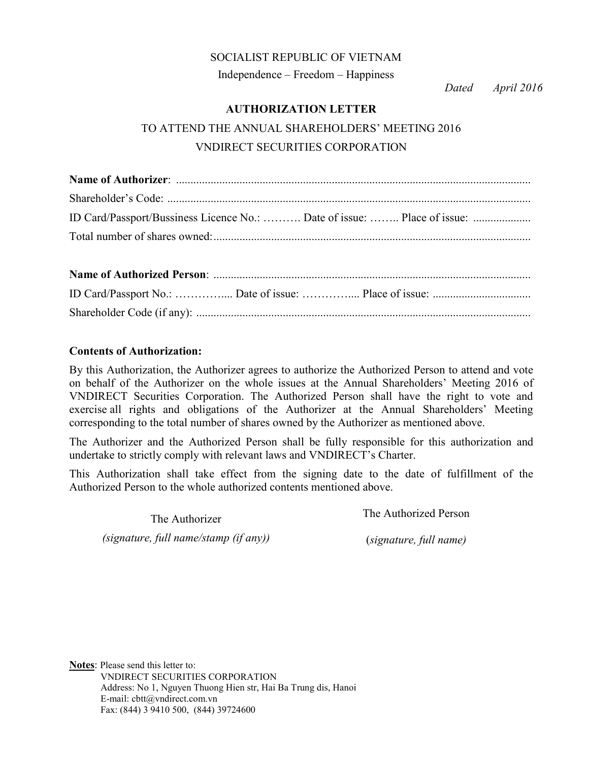#### SOCIALIST REPUBLIC OF VIETNAM

Independence – Freedom – Happiness

*Dated April 2016*

### **AUTHORIZATION LETTER**

# TO ATTEND THE ANNUAL SHAREHOLDERS' MEETING 2016 VNDIRECT SECURITIES CORPORATION

| ID Card/Passport/Bussiness Licence No.:  Date of issue:  Place of issue: |  |  |
|--------------------------------------------------------------------------|--|--|
|                                                                          |  |  |

#### **Contents of Authorization:**

By this Authorization, the Authorizer agrees to authorize the Authorized Person to attend and vote on behalf of the Authorizer on the whole issues at the Annual Shareholders' Meeting 2016 of VNDIRECT Securities Corporation. The Authorized Person shall have the right to vote and exercise all rights and obligations of the Authorizer at the Annual Shareholders' Meeting corresponding to the total number of shares owned by the Authorizer as mentioned above.

The Authorizer and the Authorized Person shall be fully responsible for this authorization and undertake to strictly comply with relevant laws and VNDIRECT's Charter.

This Authorization shall take effect from the signing date to the date of fulfillment of the Authorized Person to the whole authorized contents mentioned above.

The Authorizer

The Authorized Person

*(signature, full name/stamp (if any))*

(*signature, full name)*

**Notes**: Please send this letter to: VNDIRECT SECURITIES CORPORATION Address: No 1, Nguyen Thuong Hien str, Hai Ba Trung dis, Hanoi E-mail: cbtt@vndirect.com.vn Fax: (844) 3 9410 500, (844) 39724600